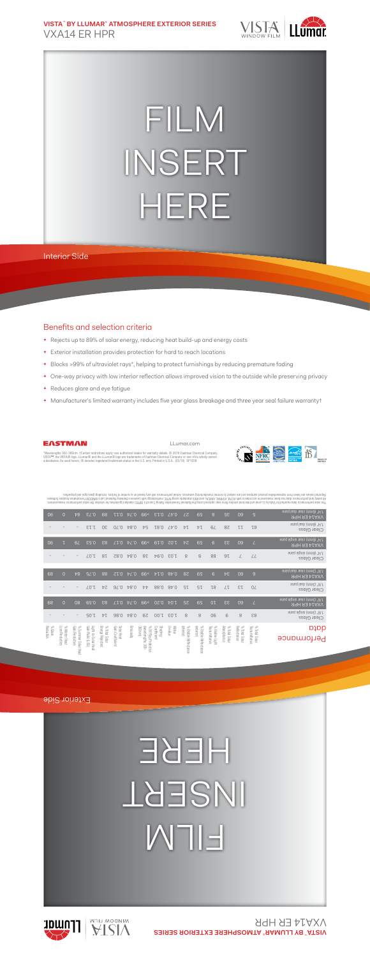**VISTA**™  **BY LLUMAR**® **ATMOSPHERE EXTERIOR SERIES** VXA14 ER HPR



## FILM INSERT HERE

## Interior Side

## Benefits and selection criteria

- **+** Rejects up to 89% of solar energy, reducing heat build-up and energy costs
- **+** Exterior installation provides protection for hard to reach locations
- **+** Blocks >99% of ultraviolet rays\*, helping to protect furnishings by reducing premature fading
- **+** One-way privacy with low interior reflection allows improved vision to the outside while preserving privacy
- **+** Reduces glare and eye fatigue
- **+** Manufacturer's limited warranty includes five year glass breakage and three year seal failure warranty†



LLumar.com



\*Wavelengths 300-380nm. †Certain restrictions apply; see authorized dealer for warranty details. © 2016 Eastman Chemical Company.<br>VISTA™, the VISTA® logo, LLumar® and the LLumar® logo are trademarks of Eastman Chemical Co subsidiaries. As used herein, ® denotes registered trademark status in the U.S. only. Printed in U.S.A. (05/16) SP1058